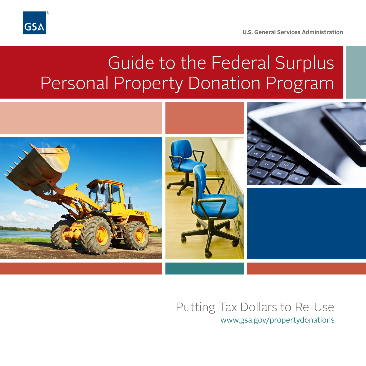

**U.S. General Services Administration** 

## Guide to the Federal Surplus Personal Property Donation Program



## Putting Tax Dollars to Re-Use

www.gsa.gov/propertydonations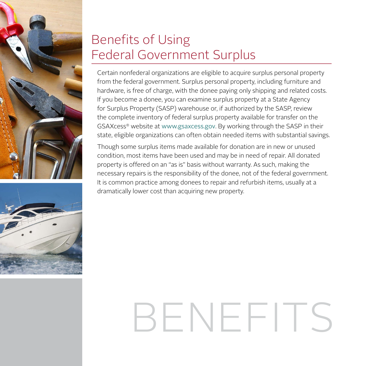



## Benefits of Using Federal Government Surplus

Certain nonfederal organizations are eligible to acquire surplus personal property from the federal government. Surplus personal property, including furniture and hardware, is free of charge, with the donee paying only shipping and related costs. If you become a donee, you can examine surplus property at a State Agency for Surplus Property (SASP) warehouse or, if authorized by the SASP, review the complete inventory of federal surplus property available for transfer on the GSAXcess® website at www.gsaxcess.gov. By working through the SASP in their state, eligible organizations can often obtain needed items with substantial savings.

Though some surplus items made available for donation are in new or unused condition, most items have been used and may be in need of repair. All donated property is offered on an "as is" basis without warranty. As such, making the necessary repairs is the responsibility of the donee, not of the federal government. It is common practice among donees to repair and refurbish items, usually at a dramatically lower cost than acquiring new property.

# BENEFIT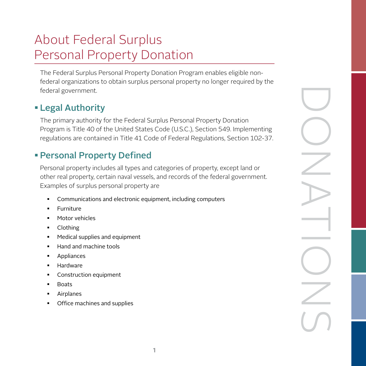## About Federal Surplus Personal Property Donation

The Federal Surplus Personal Property Donation Program enables eligible nonfederal organizations to obtain surplus personal property no longer required by the federal government.

#### Legal Authority

The primary authority for the Federal Surplus Personal Property Donation Program is Title 40 of the United States Code (U.S.C.), Section 549. Implementing regulations are contained in Title 41 Code of Federal Regulations, Section 102-37.

#### Personal Property Defined

Personal property includes all types and categories of property, except land or other real property, certain naval vessels, and records of the federal government. Examples of surplus personal property are

- Communications and electronic equipment, including computers
- Furniture
- Motor vehicles
- Clothing
- Medical supplies and equipment
- Hand and machine tools
- Appliances
- Hardware
- Construction equipment
- **Boats**
- Airplanes
- Office machines and supplies

DONATIONS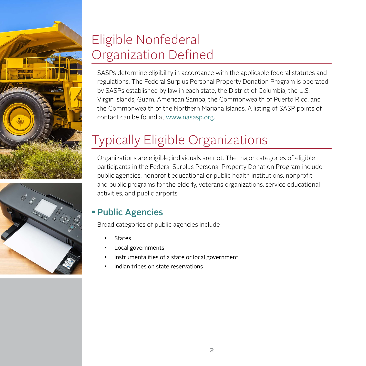



## Eligible Nonfederal Organization Defined

SASPs determine eligibility in accordance with the applicable federal statutes and regulations. The Federal Surplus Personal Property Donation Program is operated by SASPs established by law in each state, the District of Columbia, the U.S. Virgin Islands, Guam, American Samoa, the Commonwealth of Puerto Rico, and the Commonwealth of the Northern Mariana Islands. A listing of SASP points of contact can be found at www.nasasp.org.

## Typically Eligible Organizations

Organizations are eligible; individuals are not. The major categories of eligible participants in the Federal Surplus Personal Property Donation Program include public agencies, nonprofit educational or public health institutions, nonprofit and public programs for the elderly, veterans organizations, service educational activities, and public airports.

#### Public Agencies

Broad categories of public agencies include

- **States**
- Local governments
- Instrumentalities of a state or local government
- Indian tribes on state reservations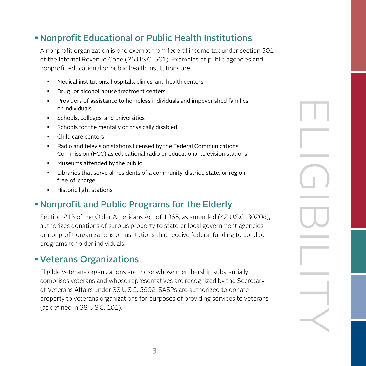#### Nonprofit Educational or Public Health Institutions

A nonprofit organization is one exempt from federal income tax under section 501 of the Internal Revenue Code (26 U.S.C. 501). Examples of public agencies and nonprofit educational or public health institutions are

- Medical institutions, hospitals, clinics, and health centers
- Drug- or alcohol-abuse treatment centers
- Providers of assistance to homeless individuals and impoverished families or individuals
- **Schools, colleges, and universities**
- Schools for the mentally or physically disabled
- Child care centers
- Radio and television stations licensed by the Federal Communications Commission (FCC) as educational radio or educational television stations
- **Museums attended by the public**
- Libraries that serve all residents of a community, district, state, or region free-of-charge
- **Historic light stations**

#### Nonprofit and Public Programs for the Elderly

Section 213 of the Older Americans Act of 1965, as amended (42 U.S.C. 3020d), authorizes donations of surplus property to state or local government agencies or nonprofit organizations or institutions that receive federal funding to conduct programs for older individuals.

ELIGIBILITY<br>ELIGIBILITY

#### Veterans Organizations

Eligible veterans organizations are those whose membership substantially comprises veterans and whose representatives are recognized by the Secretary of Veterans Affairs under 38 U.S.C. 5902. SASPs are authorized to donate property to veterans organizations for purposes of providing services to veterans (as defined in 38 U.S.C. 101).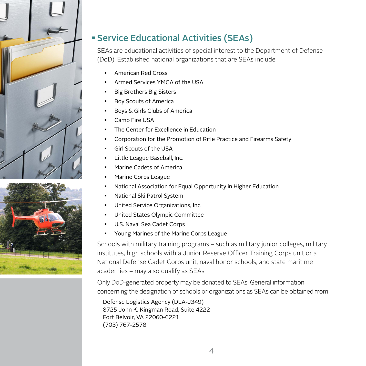



#### Service Educational Activities (SEAs)

SEAs are educational activities of special interest to the Department of Defense (DoD). Established national organizations that are SEAs include

- American Red Cross
- Armed Services YMCA of the USA
- Big Brothers Big Sisters
- Boy Scouts of America
- **Boys & Girls Clubs of America**
- Camp Fire USA
- The Center for Excellence in Education
- Corporation for the Promotion of Rifle Practice and Firearms Safety
- Girl Scouts of the USA
- Little League Baseball, Inc.
- Marine Cadets of America
- Marine Corps League
- National Association for Equal Opportunity in Higher Education
- National Ski Patrol System
- United Service Organizations, Inc.
- United States Olympic Committee
- **U.S. Naval Sea Cadet Corps**
- **Young Marines of the Marine Corps League**

Schools with military training programs – such as military junior colleges, military institutes, high schools with a Junior Reserve Officer Training Corps unit or a National Defense Cadet Corps unit, naval honor schools, and state maritime academies – may also qualify as SEAs.

Only DoD-generated property may be donated to SEAs. General information concerning the designation of schools or organizations as SEAs can be obtained from:

Defense Logistics Agency (DLA-J349) 8725 John K. Kingman Road, Suite 4222 Fort Belvoir, VA 22060-6221 (703) 767-2578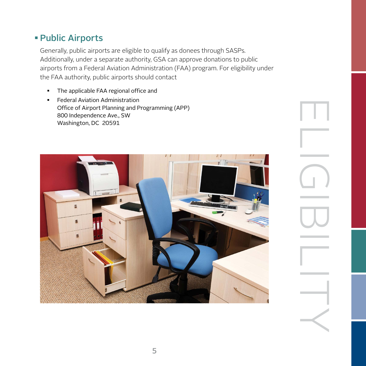#### Public Airports

Generally, public airports are eligible to qualify as donees through SASPs. Additionally, under a separate authority, GSA can approve donations to public airports from a Federal Aviation Administration (FAA) program. For eligibility under the FAA authority, public airports should contact

- **The applicable FAA regional office and**
- Federal Aviation Administration Office of Airport Planning and Programming (APP) 800 Independence Ave., SW Washington, DC 20591



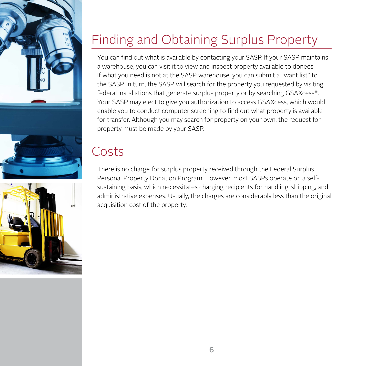



## Finding and Obtaining Surplus Property

You can find out what is available by contacting your SASP. If your SASP maintains a warehouse, you can visit it to view and inspect property available to donees. If what you need is not at the SASP warehouse, you can submit a "want list" to the SASP. In turn, the SASP will search for the property you requested by visiting federal installations that generate surplus property or by searching GSAXcess®. Your SASP may elect to give you authorization to access GSAXcess, which would enable you to conduct computer screening to find out what property is available for transfer. Although you may search for property on your own, the request for property must be made by your SASP.

### Costs

There is no charge for surplus property received through the Federal Surplus Personal Property Donation Program. However, most SASPs operate on a selfsustaining basis, which necessitates charging recipients for handling, shipping, and administrative expenses. Usually, the charges are considerably less than the original acquisition cost of the property.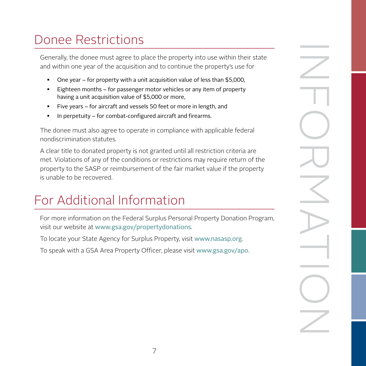## Donee Restrictions

Generally, the donee must agree to place the property into use within their state and within one year of the acquisition and to continue the property's use for

- One year for property with a unit acquisition value of less than \$5,000,
- Eighteen months for passenger motor vehicles or any item of property having a unit acquisition value of \$5,000 or more,
- Five years for aircraft and vessels 50 feet or more in length, and
- In perpetuity for combat-configured aircraft and firearms.

The donee must also agree to operate in compliance with applicable federal nondiscrimination statutes.

A clear title to donated property is not granted until all restriction criteria are met. Violations of any of the conditions or restrictions may require return of the property to the SASP or reimbursement of the fair market value if the property is unable to be recovered.

## For Additional Information

For more information on the Federal Surplus Personal Property Donation Program, visit our website at www.gsa.gov/propertydonations.

To locate your State Agency for Surplus Property, visit www.nasasp.org.

To speak with a GSA Area Property Officer, please visit www.gsa.gov/apo.